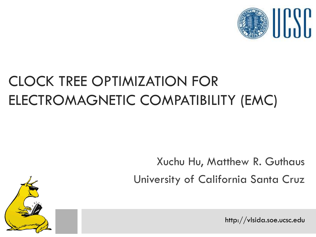

#### CLOCK TREE OPTIMIZATION FOR ELECTROMAGNETIC COMPATIBILITY (EMC)

Xuchu Hu, Matthew R. Guthaus University of California Santa Cruz

http://vlsida.soe.ucsc.edu

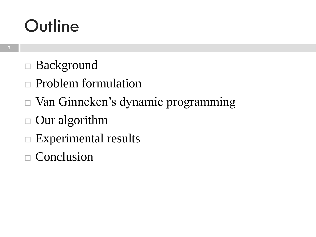- Background
- Problem formulation
- Van Ginneken's dynamic programming
- Our algorithm
- $\Box$  Experimental results
- $\Box$  Conclusion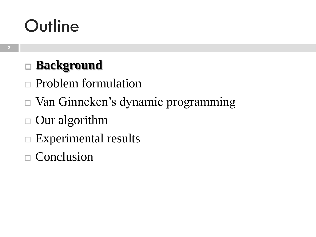#### **Background**

- Problem formulation
- Van Ginneken's dynamic programming
- Our algorithm
- $\Box$  Experimental results
- $\Box$  Conclusion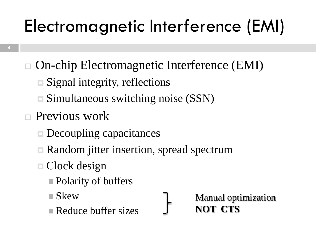# Electromagnetic Interference (EMI)

- On-chip Electromagnetic Interference (EMI)
	- **□ Signal integrity, reflections**
	- Simultaneous switching noise (SSN)
- Previous work
	- Decoupling capacitances
	- **□ Random jitter insertion, spread spectrum**
	- □ Clock design
		- **Polarity of buffers**
		- Skew
		- Reduce buffer sizes

Manual optimization **NOT CTS**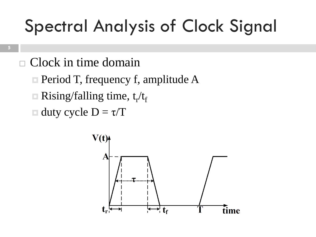## Spectral Analysis of Clock Signal

- Clock in time domain
	- $\Box$  Period T, frequency f, amplitude A
	- $\Box$  Rising/falling time, t<sub>r</sub>/t<sub>f</sub>
	- $\Box$  duty cycle  $D = \tau/T$

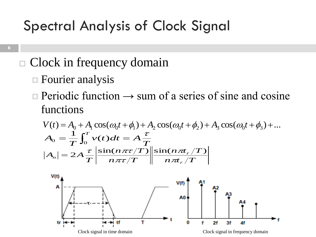#### Spectral Analysis of Clock Signal

#### Clock in frequency domain

- **Exercise 5 Fourier analysis**
- **Periodic function**  $\rightarrow$  sum of a series of sine and cosine functions

$$
V(t) = A_0 + A_1 \cos(\omega_0 t + \phi_1) + A_2 \cos(\omega_0 t + \phi_2) + A_3 \cos(\omega_0 t + \phi_3) + \dots
$$
  
\n
$$
A_0 = \frac{1}{T} \int_0^T v(t) dt = A \frac{\tau}{T}
$$
  
\n
$$
|A_n| = 2A \frac{\tau}{T} \left| \frac{\sin(n \pi \tau/T)}{n \pi \tau/T} \right| \left| \frac{\sin(n \pi t_r/T)}{n \pi t_r/T} \right|
$$

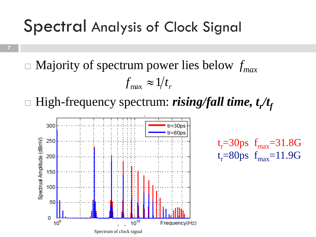#### Spectral Analysis of Clock Signal

**7**

 Majority of spectrum power lies below *fmax*  $f_{\text{max}} \approx 1/t_r$ 

□ High-frequency spectrum: *rising/fall time, t<sub>r</sub>/t<sub>f</sub>* 

 $t_r = 30$ ps  $f_{max} = 31.8$ G

 $t_r = 80$ ps  $f_{max} = 11.9G$ 

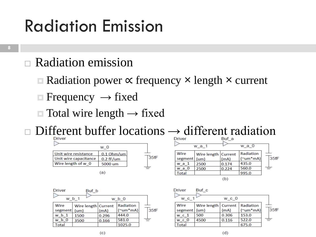#### Radiation Emission

- Radiation emission
	- Radiation power ∝ frequency **×** length **×** current
	- $\Box$  Frequency  $\rightarrow$  fixed
	- $\Box$  Total wire length  $\rightarrow$  fixed

Different buffer locations  $\rightarrow$  different radiation





| <b>Driver</b>    | Buf b               |        |            |      |
|------------------|---------------------|--------|------------|------|
| w b 1            |                     | $wb$ 0 |            |      |
| Wire             | Wire length Current |        | Radiation  |      |
| segment          | (um)                | (mA)   | $('um*mA)$ | 35fF |
| w <sub>b</sub> 1 | 1500                | 0.296  | 444.0      |      |
| $b\,0$<br>w      | 3500                | 0.166  | 581.0      | ≐    |
| `otal            |                     |        | 1025.0     |      |



 $(d)$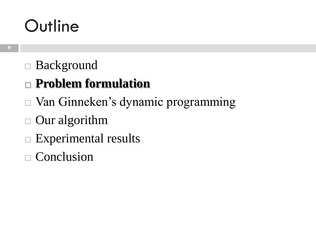#### Background

#### **Problem formulation**

- Van Ginneken's dynamic programming
- Our algorithm
- $\Box$  Experimental results
- $\Box$  Conclusion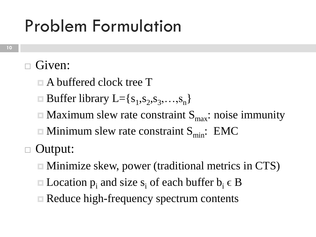### Problem Formulation

#### Given:

- A buffered clock tree T
- $\Box$  Buffer library L={ $s_1, s_2, s_3, ..., s_n$ }
- $\blacksquare$  Maximum slew rate constraint  $S_{\text{max}}$ : noise immunity
- $\blacksquare$  Minimum slew rate constraint  $S_{min}$ : EMC

Output:

- Minimize skew, power (traditional metrics in CTS)
- $\blacksquare$  Location  $p_i$  and size  $s_i$  of each buffer  $b_i \in B$
- **□ Reduce high-frequency spectrum contents**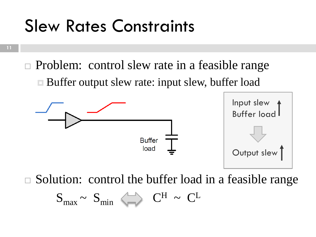#### Slew Rates Constraints

**11**

□ Problem: control slew rate in a feasible range ■ Buffer output slew rate: input slew, buffer load



Solution: control the buffer load in a feasible range

 $S_{max} \sim S_{min} \iff C^H \sim C^L$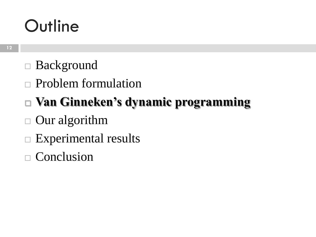- Background
- Problem formulation
- **Van Ginneken's dynamic programming**
- Our algorithm
- $\Box$  Experimental results
- $\Box$  Conclusion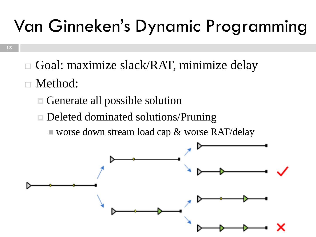## Van Ginneken's Dynamic Programming

- Goal: maximize slack/RAT, minimize delay
- Method:
	- Generate all possible solution
	- Deleted dominated solutions/Pruning
		- worse down stream load cap  $\&$  worse RAT/delay

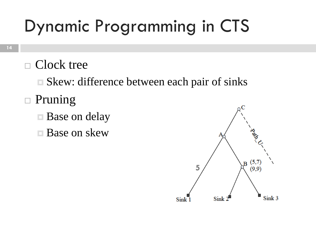## Dynamic Programming in CTS

 $\Box$  Clock tree

**□ Skew: difference between each pair of sinks** 

- $\Box$  Pruning
	- Base on delay
	- **E** Base on skew

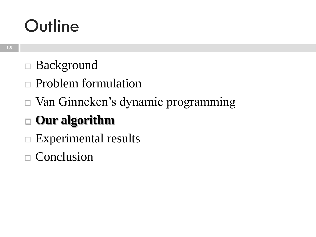- Background
- Problem formulation
- Van Ginneken's dynamic programming

#### **Our algorithm**

- $\Box$  Experimental results
- $\Box$  Conclusion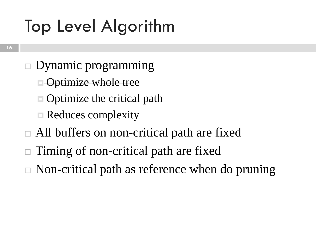## Top Level Algorithm

- $\square$  Dynamic programming
	- **E** Optimize whole tree
	- □ Optimize the critical path
	- **□ Reduces complexity**
- All buffers on non-critical path are fixed
- Timing of non-critical path are fixed
- $\Box$  Non-critical path as reference when do pruning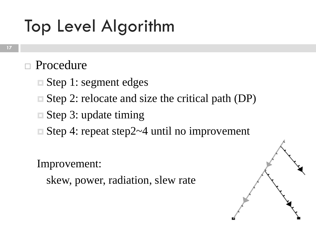## Top Level Algorithm

#### Procedure

- Step 1: segment edges
- Step 2: relocate and size the critical path (DP)
- Step 3: update timing
- Step 4: repeat step2~4 until no improvement

Improvement:

skew, power, radiation, slew rate

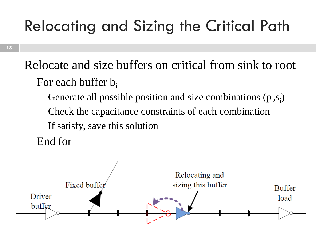#### Relocating and Sizing the Critical Path

**18**

Relocate and size buffers on critical from sink to root For each buffer  $b_i$ 

Generate all possible position and size combinations  $(p_i, s_i)$ Check the capacitance constraints of each combination If satisfy, save this solution

End for

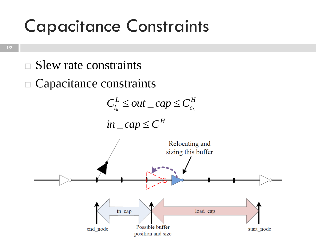#### Capacitance Constraints

- $\square$  Slew rate constraints
- Capacitance constraints



 $\int$ *in* \_ *cap*  $\leq$   $C$ <sup>*H*</sup>

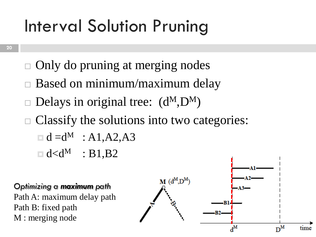## Interval Solution Pruning

- **20**
- $\Box$  Only do pruning at merging nodes
- Based on minimum/maximum delay
- Delays in original tree:  $(d^M, D^M)$
- $\Box$  Classify the solutions into two categories:
	- $\Box$  d = d<sup>M</sup> : A1, A2, A3
	- $\Box$  d<d<sup>M</sup> : B1,B2

#### *Optimizing a maximum path*

Path A: maximum delay path Path B: fixed path M : merging node

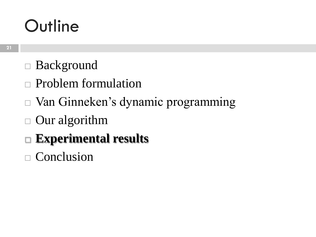- Background
- Problem formulation
- Van Ginneken's dynamic programming
- Our algorithm
- **Experimental results**
- $\Box$  Conclusion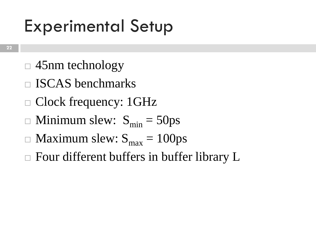### Experimental Setup

- $\Box$  45nm technology
- ISCAS benchmarks
- □ Clock frequency: 1GHz
- $\Box$  Minimum slew:  $S_{\text{min}} = 50 \text{ps}$
- $\Box$  Maximum slew:  $S_{\text{max}} = 100 \text{ps}$
- $\Box$  Four different buffers in buffer library L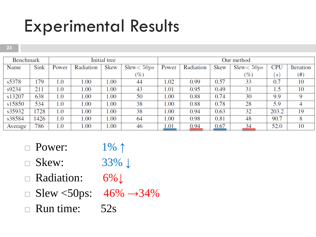#### Experimental Results

**23**

| Initial tree<br>Benchmark |      |         | Our method |      |                     |       |           |      |              |            |           |
|---------------------------|------|---------|------------|------|---------------------|-------|-----------|------|--------------|------------|-----------|
| Name                      | Sink | Power   | Radiation  | Skew | $S$ lew $<$ 50 $ps$ | Power | Radiation | Skew | Slew < 50 ps | <b>CPU</b> | Iteration |
|                           |      |         |            |      | (%)                 |       |           |      | $(\%)$       | S          | $^{(#)}$  |
| s5378                     | 179  | 1.0     | 1.00       | 00.1 | 44                  | 1.02  | 0.99      | 0.57 | 33           | 0.7        | 10        |
| s9234                     | 211  | 0.1     | 1.00       | 00.1 | 43                  | 1.01  | 0.95      | 0.49 | 31           | 1.5        | 10        |
| s13207                    | 638  | 1.0     | 1.00       | 00.1 | 50                  | 00.1  | 0.88      | 0.74 | 30           | 9.9        | 9         |
| s15850                    | 534  | $1.0\,$ | 1.00       | 00.1 | 38                  | 00.1  | 0.88      | 0.78 | 28           | 5.9        | 4         |
| s35932                    | 1728 | 1.0     | 1.00       | 00.1 | 38                  | 00.1  | 0.94      | 0.63 | 32           | 203.2      | 19        |
| s38584                    | 1426 | $1.0\,$ | 1.00       | 00.1 | 64                  | 1.00  | 0.98      | 0.81 | 48           | 90.7       | 8         |
| Average                   | 786  | $1.0\,$ | 1.00       | 00.1 | 46                  | 1.01  | 0.94      | 0.67 | <u>34</u>    | 52.0       | 10        |

- $\Box$  Power:  $1\% \uparrow$
- Skew: 33% **↓**
- Radiation: 6%↓
- $\Box$  Slew <50ps: 46%  $\rightarrow$ 34%
- $\Box$  Run time: 52s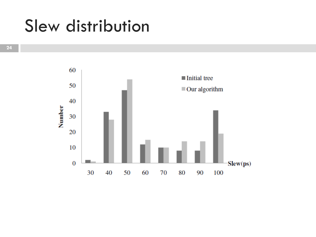#### Slew distribution

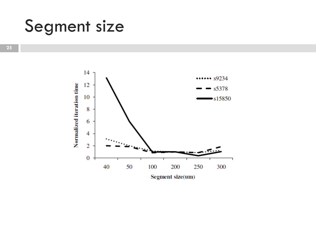#### Segment size

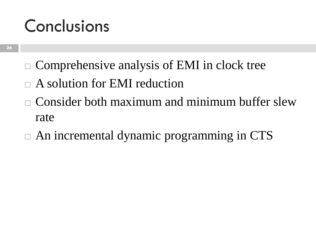#### Conclusions

- $\Box$  Comprehensive analysis of EMI in clock tree
- A solution for EMI reduction
- Consider both maximum and minimum buffer slew rate
- $\Box$  An incremental dynamic programming in CTS